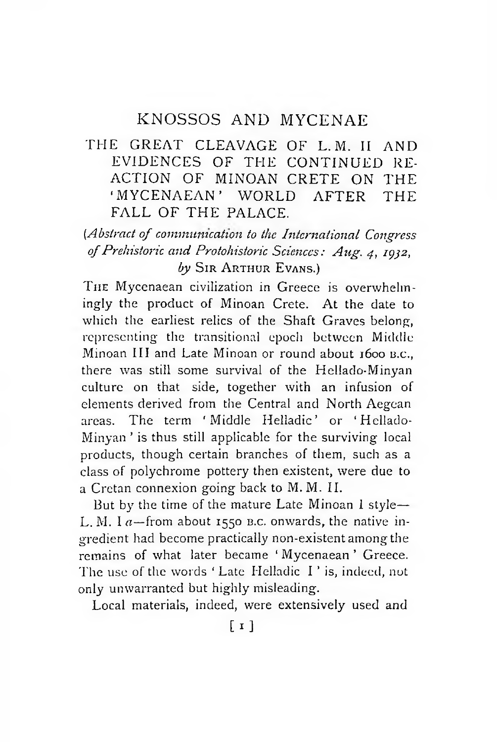## KNOSSOS AND MYCENAE

## THE GREAT CLEAVAGE OF L.M. II AND EVIDENCES OF THE CONTINUED RE-ACTION OF MINOAN CRETE ON THE ' MYCENAEAN' WORLD AFTER THE FALL OF THE PALACE.

*[Abstract of communication to the International Congress of Prehistoric and Protohistoric Sciences: Aug. 4, 1932,* by Sir Arthur Evans.)

THE Mycenaean civilization in Greece is overwhelmingly the product of Minoan Crete. At the date to which the earliest relics of the Shaft Graves belong, representing the transitional epoch between Middle Minoan III and Late Minoan or round about 1600 B.C., there was still some survival of the Hellado-Minyan culture on that side, together with an infusion of elements derived from the Central and North Aegean areas. The term ' Middle Helladic' or ' Hellado-Minyan ' is thus still applicable for the surviving local products, though certain branches of them, such as a class of polychrome pottery then existent, were due to a Cretan connexion going back to M. M. II.

But by the time of the mature Late Minoan I style— L. M.  $1a$ -from about 1550 B.C. onwards, the native ingredient had become practically non-existent among the remains of what later became ' Mycenaean ' Greece. The use of the words ' Late Helladic I ' is, indeed, not only unwarranted but highly misleading.

Local materials, indeed, were extensively used and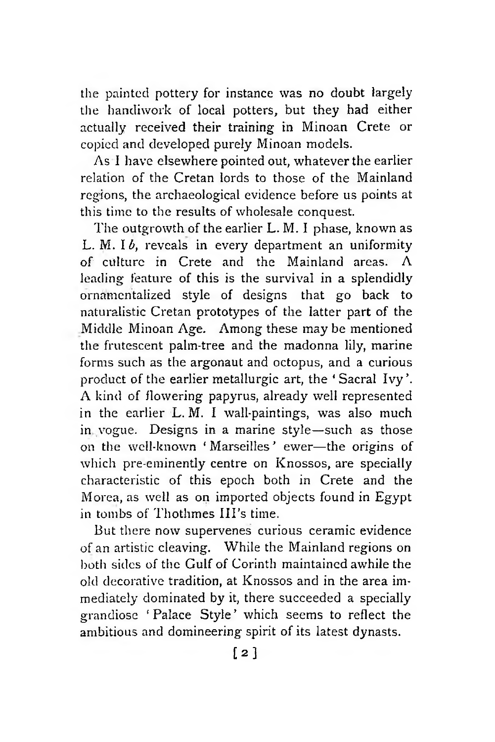the painted pottery for instance was no doubt largely the handiwork of local potters, but they had either actually received their training in Minoan Crete or copied and developed purely Minoan models.

As I have elsewhere pointed out, whatever the earlier relation of the Cretan lords to those of the Mainland regions, the archaeological evidence before us points at this time to the results of wholesale conquest.

The outgrowth of the earlier L. M. I phase, known as L. M. Ib. reveals in every department an uniformity of culture in Crete and the Mainland areas.  $\Lambda$ leading feature of this is the survival in a splendidly ornamentalized style of designs that go back to naturalistic Cretan prototypes of the latter part of the Middle Minoan Age. Among these maybe mentioned the frutescent palm-tree and the madonna lily, marine forms such as the argonaut and octopus, and a curious product of the earlier metallurgic art, the 'Sacral Ivy'. A kind of dowering papyrus, already well represented in the earlier L. M. I wall-paintings, was also much in vogue. Designs in a marine style—such as those on the well-known ' Marseilles ' ewer—the origins of which pre-eminently centre on Knossos, are specially characteristic of this epoch both in Crete and the Morea, as well as on imported objects found in Egypt in tombs of Thothmes III's time.

But there now supervenes curious ceramic evidence of an artistic cleaving. While the Mainland regions on both sides of the Gulf of Corinth maintained awhile the old decorative tradition, at Knossos and in the area immediately dominated by it, there succeeded a specially grandiose ' Palace Style' which seems to reflect the ambitious and domineering spirit of its latest dynasts.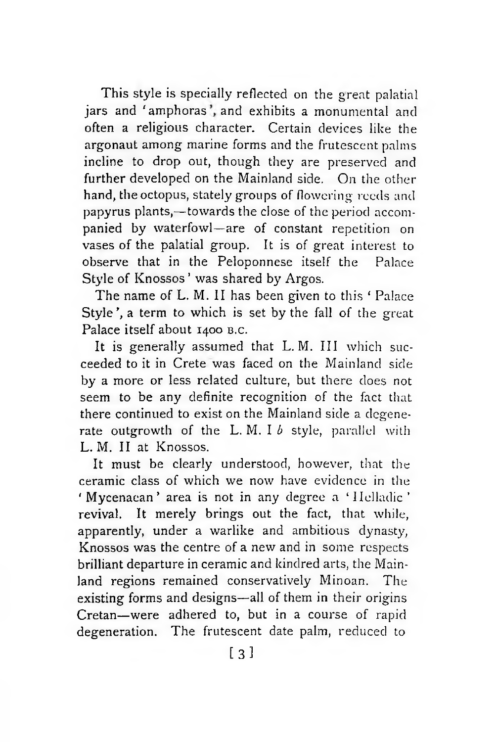This style is specially reflected on the great palatial jars and 'amphoras', and exhibits a monumental and often a religious character. Certain devices like the argonaut among marine forms and the frutescent palms incline to drop out, though they are preserved and further developed on the Mainland side. On the other hand, the octopus, stately groups of flowering reeds and papyrus plants,—towards the close of the period accompanied by waterfowl—are of constant repetition on vases of the palatial group. It is of great interest to observe that in the Peloponnese itself the Palace Style of Knossos' was shared by Argos.

The name of L. M. II has been given to this ' Palace Style', a term to which is set by the fall of the great Palace itself about 1400 B.C.

It is generally assumed that L.M. III which succeeded to it in Crete was faced on the Mainland side by a more or less related culture, but there does not seem to be any definite recognition of the fact that there continued to exist on the Mainland side a degenerate outgrowth of the L.M. I *b* style, parallel with L. M. II at Knossos.

It must be clearly understood, however, that the ceramic class of which we now have evidence in the ' Mycenaean' area is not in any degree a ' Helladic' revival. It merely brings out the fact, that while, apparently, under a warlike and ambitious dynasty, Knossos was the centre of a new and in some respects brilliant departure in ceramic and kindred arts, the Mainland regions remained conservatively Minoan. The existing forms and designs—all of them in their origins Cretan—were adhered to, but in a course of rapid degeneration. The frutescent date palm, reduced to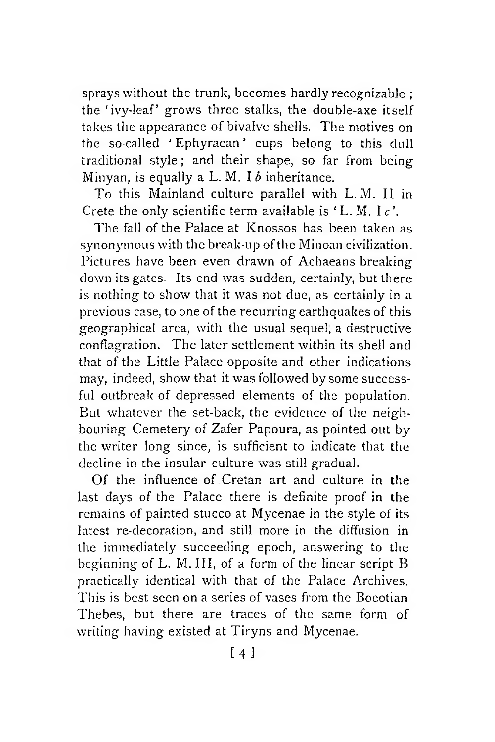sprays without the trunk, becomes hardly recognizable ; the ' ivy-leaf' grows three stalks, the double-axe itself takes the appearance of bivalve shells. The motives on the so-called *1* Ephyraean ' cups belong to this dull traditional style; and their shape, so far from being Minyan, is equally a L. M. *lb* inheritance.

To this Mainland culture parallel with L. M. II in Crete the only scientific term available is ' L. M. I *c\*

The fall of the Palace at Knossos has been taken as synonymous with the break-up of the Minoan civilization. Pictures have been even drawn of Achaeans breaking down its gates. Its end was sudden, certainly, but there is nothing to show that it was not due, as certainly in a previous case, to one of the recurring earthquakes of this geographical area, with the usual sequel, a destructive conflagration. The later settlement within its shell and that of the Little Palace opposite and other indications may, indeed, show that it was followed by some successful outbreak of depressed elements of the population. But whatever the set-back, the evidence of the neighbouring Cemetery of Zafer Papoura, as pointed out by the writer long since, is sufficient to indicate that the decline in the insular culture was still gradual.

Of the influence of Cretan art and culture in the last days of the Palace there is definite proof in the remains of painted stucco at Mycenae in the style of its latest re-decoration, and still more in the diffusion in the immediately succeeding epoch, answering to the beginning of L. M. Ill, of a form of the linear script B practically identical with that of the Palace Archives. This is best seen on a series of vases from the Boeotian Thebes, but there are traces of the same form of writing having existed at Tiryns and Mycenae.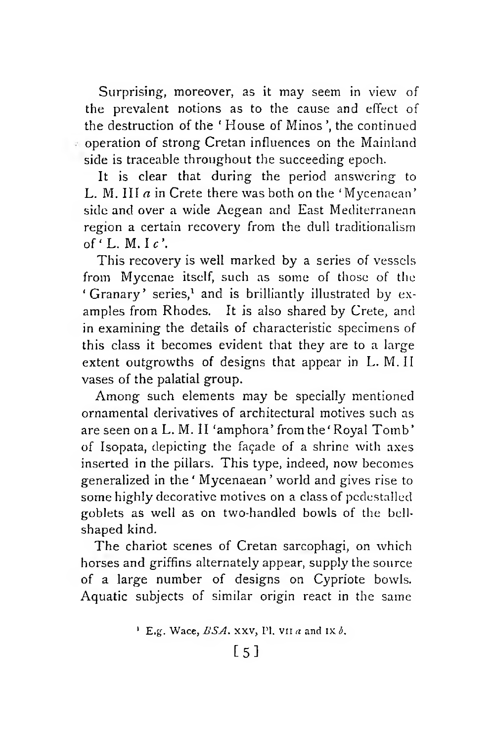Surprising, moreover, as it may seem in view of the prevalent notions as to the cause and effect of the destruction of the *'* House of Minos ', the continued operation of strong Cretan influences on the Mainland side is traceable throughout the succeeding epoch.

It is clear that during the period answering to L. M. III *a* in Crete there was both on the 'Mycenaean' side and over a wide Aegean and East Mediterranean region a certain recovery from the dull traditionalism of  $'L$ . M. Ic'.

This recovery is well marked by a series of vessels from Mycenae itself, such as some of those of the ' Granary' series,<sup>1</sup> and is brilliantly illustrated by examples from Rhodes. It is also shared by Crete, and in examining the details of characteristic specimens of this class it becomes evident that they are to a large extent outgrowths of designs that appear in L. M. II vases of the palatial group.

Among such elements may be specially mentioned ornamental derivatives of architectural motives such as are seen on a L. M. II 'amphora' from the 'Royal Tomb' of Isopata, depicting the façade of a shrine with axes inserted in the pillars. This type, indeed, now becomes generalized in the ' Mycenaean ' world and gives rise to some highly decorative motives on a class of pcdestalled goblets as well as on two-handled bowls of the bellshaped kind.

The chariot scenes of Cretan sarcophagi, on which horses and griffins alternately appear, supply the source of a large number of designs on Cypriote bowls. Aquatic subjects of similar origin react in the same

<sup>&</sup>lt;sup>1</sup> E.g. Wace,  $BSA$ , xxv, Pl, v<sub>II</sub> *a* and Ix *b*.